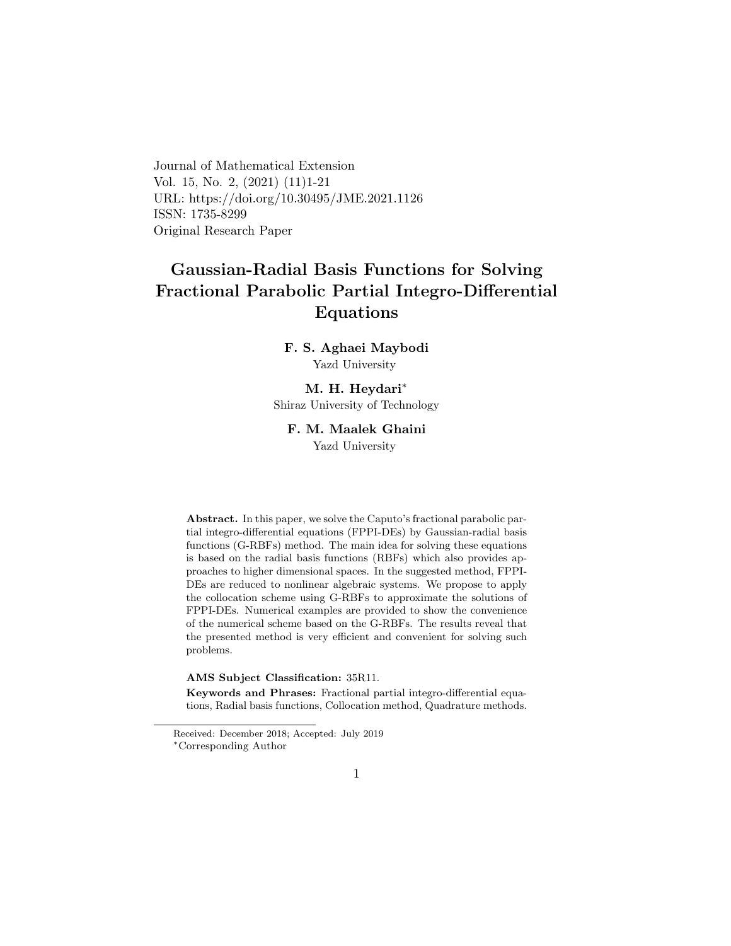Journal of Mathematical Extension Vol. 15, No. 2, (2021) (11)1-21 URL: https://doi.org/10.30495/JME.2021.1126 ISSN: 1735-8299 Original Research Paper

# Gaussian-Radial Basis Functions for Solving Fractional Parabolic Partial Integro-Differential Equations

### F. S. Aghaei Maybodi Yazd University

### M. H. Heydari[∗](#page-0-0) Shiraz University of Technology

#### F. M. Maalek Ghaini

Yazd University

Abstract. In this paper, we solve the Caputo's fractional parabolic partial integro-differential equations (FPPI-DEs) by Gaussian-radial basis functions (G-RBFs) method. The main idea for solving these equations is based on the radial basis functions (RBFs) which also provides approaches to higher dimensional spaces. In the suggested method, FPPI-DEs are reduced to nonlinear algebraic systems. We propose to apply the collocation scheme using G-RBFs to approximate the solutions of FPPI-DEs. Numerical examples are provided to show the convenience of the numerical scheme based on the G-RBFs. The results reveal that the presented method is very efficient and convenient for solving such problems.

#### AMS Subject Classification: 35R11.

Keywords and Phrases: Fractional partial integro-differential equations, Radial basis functions, Collocation method, Quadrature methods.

Received: December 2018; Accepted: July 2019

<span id="page-0-0"></span><sup>∗</sup>Corresponding Author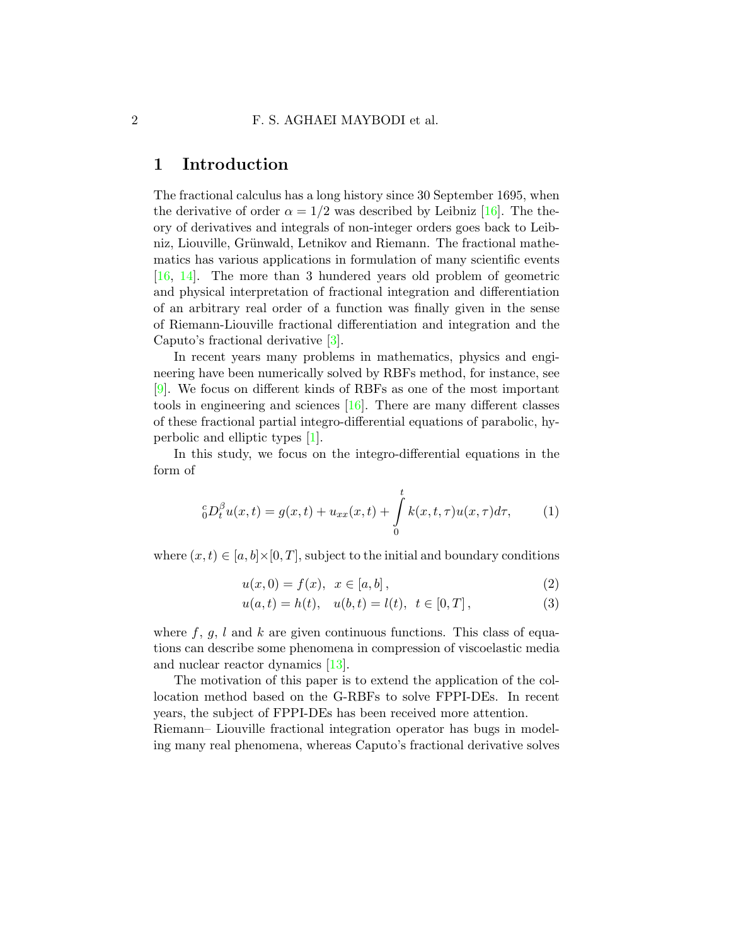## 1 Introduction

The fractional calculus has a long history since 30 September 1695, when the derivative of order  $\alpha = 1/2$  was described by Leibniz [\[16\]](#page-20-0). The theory of derivatives and integrals of non-integer orders goes back to Leibniz, Liouville, Grünwald, Letnikov and Riemann. The fractional mathematics has various applications in formulation of many scientific events [\[16,](#page-20-0) [14\]](#page-19-0). The more than 3 hundered years old problem of geometric and physical interpretation of fractional integration and differentiation of an arbitrary real order of a function was finally given in the sense of Riemann-Liouville fractional differentiation and integration and the Caputo's fractional derivative [\[3\]](#page-18-0).

In recent years many problems in mathematics, physics and engineering have been numerically solved by RBFs method, for instance, see [\[9\]](#page-19-1). We focus on different kinds of RBFs as one of the most important tools in engineering and sciences [\[16\]](#page-20-0). There are many different classes of these fractional partial integro-differential equations of parabolic, hyperbolic and elliptic types [\[1\]](#page-18-1).

In this study, we focus on the integro-differential equations in the form of

$$
{}_{0}^{c}D_{t}^{\beta}u(x,t) = g(x,t) + u_{xx}(x,t) + \int_{0}^{t} k(x,t,\tau)u(x,\tau)d\tau,
$$
 (1)

where  $(x, t) \in [a, b] \times [0, T]$ , subject to the initial and boundary conditions

<span id="page-1-0"></span>
$$
u(x,0) = f(x), \ \ x \in [a,b], \tag{2}
$$

<span id="page-1-2"></span><span id="page-1-1"></span>
$$
u(a,t) = h(t), \quad u(b,t) = l(t), \quad t \in [0,T], \tag{3}
$$

where  $f, g, l$  and k are given continuous functions. This class of equations can describe some phenomena in compression of viscoelastic media and nuclear reactor dynamics [\[13\]](#page-19-2).

The motivation of this paper is to extend the application of the collocation method based on the G-RBFs to solve FPPI-DEs. In recent years, the subject of FPPI-DEs has been received more attention.

Riemann– Liouville fractional integration operator has bugs in modeling many real phenomena, whereas Caputo's fractional derivative solves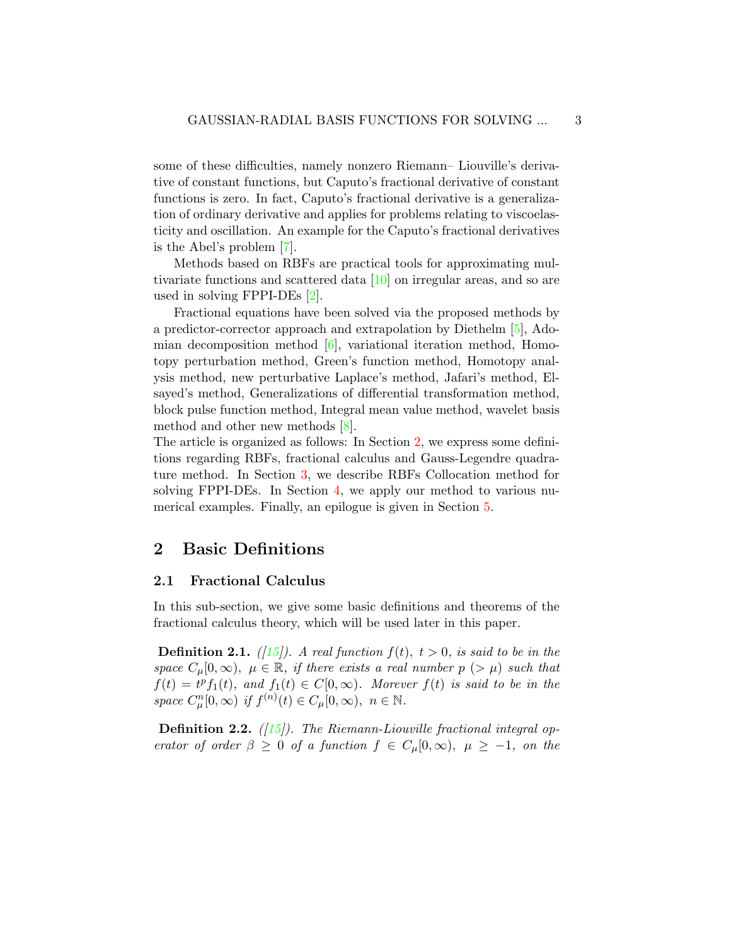some of these difficulties, namely nonzero Riemann– Liouville's derivative of constant functions, but Caputo's fractional derivative of constant functions is zero. In fact, Caputo's fractional derivative is a generalization of ordinary derivative and applies for problems relating to viscoelasticity and oscillation. An example for the Caputo's fractional derivatives is the Abel's problem [\[7\]](#page-19-3).

Methods based on RBFs are practical tools for approximating multivariate functions and scattered data  $[10]$  on irregular areas, and so are used in solving FPPI-DEs [\[2\]](#page-18-2).

Fractional equations have been solved via the proposed methods by a predictor-corrector approach and extrapolation by Diethelm [\[5\]](#page-18-3), Adomian decomposition method [\[6\]](#page-19-5), variational iteration method, Homotopy perturbation method, Green's function method, Homotopy analysis method, new perturbative Laplace's method, Jafari's method, Elsayed's method, Generalizations of differential transformation method, block pulse function method, Integral mean value method, wavelet basis method and other new methods [\[8\]](#page-19-6).

The article is organized as follows: In Section [2,](#page-2-0) we express some definitions regarding RBFs, fractional calculus and Gauss-Legendre quadrature method. In Section [3,](#page-9-0) we describe RBFs Collocation method for solving FPPI-DEs. In Section [4,](#page-12-0) we apply our method to various numerical examples. Finally, an epilogue is given in Section [5.](#page-18-4)

## <span id="page-2-0"></span>2 Basic Definitions

#### 2.1 Fractional Calculus

In this sub-section, we give some basic definitions and theorems of the fractional calculus theory, which will be used later in this paper.

**Definition 2.1.** ([\[15\]](#page-19-7)). A real function  $f(t)$ ,  $t > 0$ , is said to be in the space  $C_{\mu}[0,\infty)$ ,  $\mu \in \mathbb{R}$ , if there exists a real number  $p > \mu$  such that  $f(t) = t<sup>p</sup> f<sub>1</sub>(t),$  and  $f<sub>1</sub>(t) \in C[0,\infty)$ . Morever  $f(t)$  is said to be in the space  $C_{\mu}^{n}[0,\infty)$  if  $f^{(n)}(t) \in C_{\mu}[0,\infty)$ ,  $n \in \mathbb{N}$ .

**Definition 2.2.** ([\[15\]](#page-19-7)). The Riemann-Liouville fractional integral operator of order  $\beta \geq 0$  of a function  $f \in C_{\mu}[0,\infty)$ ,  $\mu \geq -1$ , on the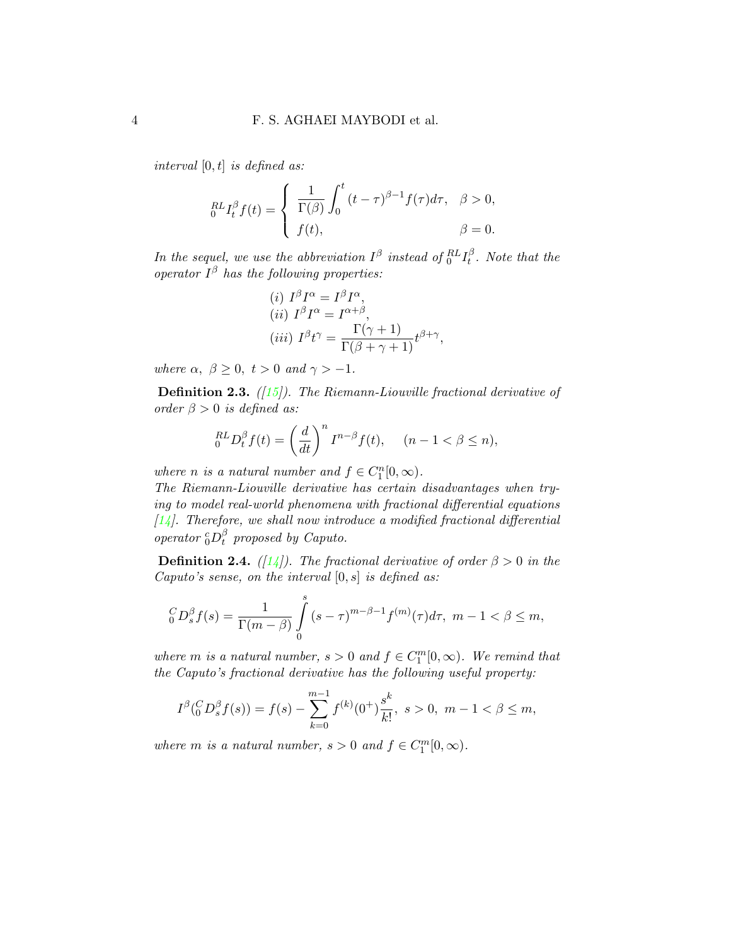interval  $[0, t]$  is defined as:

<span id="page-3-0"></span>
$$
{}_{0}^{RL}I_{t}^{\beta}f(t) = \begin{cases} \frac{1}{\Gamma(\beta)} \int_{0}^{t} (t-\tau)^{\beta-1} f(\tau) d\tau, & \beta > 0, \\ f(t), & \beta = 0. \end{cases}
$$

In the sequel, we use the abbreviation  $I^{\beta}$  instead of  ${}_0^{RL}I_t^{\beta}$  $t<sup>p</sup>$ . Note that the operator  $I^{\beta}$  has the following properties:

(i) 
$$
I^{\beta}I^{\alpha} = I^{\beta}I^{\alpha}
$$
,  
\n(ii)  $I^{\beta}I^{\alpha} = I^{\alpha+\beta}$ ,  
\n(iii)  $I^{\beta}t^{\gamma} = \frac{\Gamma(\gamma+1)}{\Gamma(\beta+\gamma+1)}t^{\beta+\gamma}$ ,

where  $\alpha, \ \beta \geq 0, \ t > 0 \ and \ \gamma > -1.$ 

**Definition 2.3.** ( $\left(15\right)$ ). The Riemann-Liouville fractional derivative of order  $\beta > 0$  is defined as:

$$
{}_{0}^{RL}D_{t}^{\beta}f(t) = \left(\frac{d}{dt}\right)^{n}I^{n-\beta}f(t), \quad (n-1 < \beta \le n),
$$

where *n* is a natural number and  $f \in C_1^n[0,\infty)$ .

The Riemann-Liouville derivative has certain disadvantages when trying to model real-world phenomena with fractional differential equations  $[14]$ . Therefore, we shall now introduce a modified fractional differential operator  ${_0^c}D_t^{\beta}$  $_{t}^{\rho}$  proposed by Caputo.

**Definition 2.4.** ([\[14\]](#page-19-0)). The fractional derivative of order  $\beta > 0$  in the Caputo's sense, on the interval  $[0, s]$  is defined as:

$$
{}_0^{C}D_s^{\beta} f(s) = \frac{1}{\Gamma(m-\beta)} \int_0^s (s-\tau)^{m-\beta-1} f^{(m)}(\tau) d\tau, \ m-1 < \beta \le m,
$$

where m is a natural number,  $s > 0$  and  $f \in C_1^m[0, \infty)$ . We remind that the Caputo's fractional derivative has the following useful property:

$$
I^{\beta}({}_{0}^{C}D_{s}^{\beta}f(s)) = f(s) - \sum_{k=0}^{m-1} f^{(k)}(0^{+})\frac{s^{k}}{k!}, \ s > 0, \ m-1 < \beta \leq m,
$$

where m is a natural number,  $s > 0$  and  $f \in C_1^m[0, \infty)$ .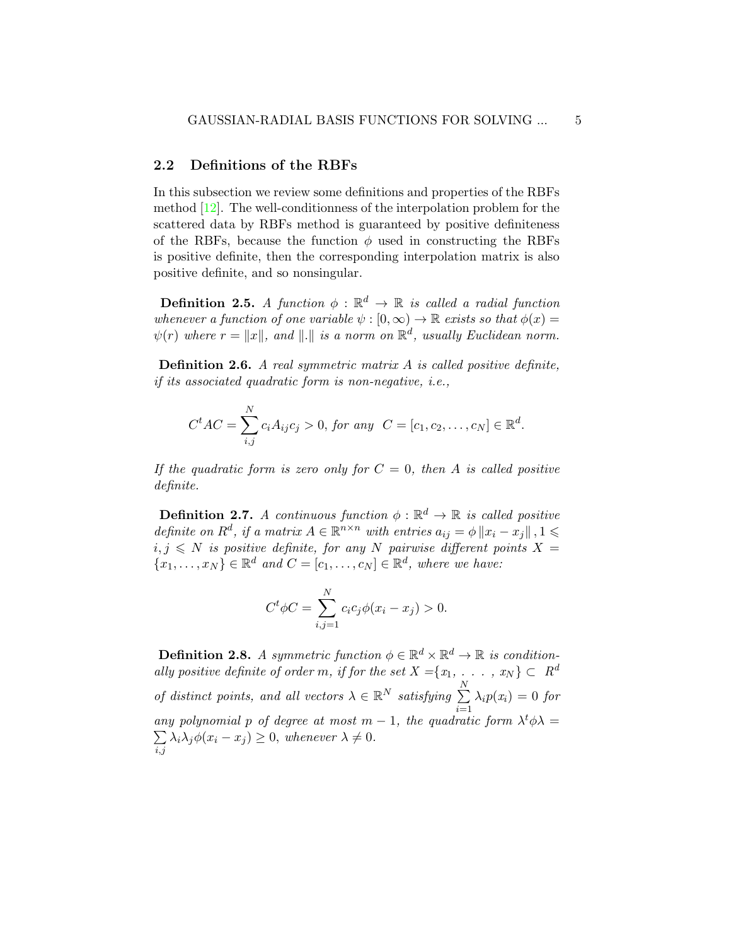### 2.2 Definitions of the RBFs

In this subsection we review some definitions and properties of the RBFs method [\[12\]](#page-19-8). The well-conditionness of the interpolation problem for the scattered data by RBFs method is guaranteed by positive definiteness of the RBFs, because the function  $\phi$  used in constructing the RBFs is positive definite, then the corresponding interpolation matrix is also positive definite, and so nonsingular.

**Definition 2.5.** A function  $\phi : \mathbb{R}^d \to \mathbb{R}$  is called a radial function whenever a function of one variable  $\psi : [0, \infty) \to \mathbb{R}$  exists so that  $\phi(x) =$  $\psi(r)$  where  $r = ||x||$ , and  $|| \cdot ||$  is a norm on  $\mathbb{R}^d$ , usually Euclidean norm.

**Definition 2.6.** A real symmetric matrix  $A$  is called positive definite, if its associated quadratic form is non-negative, i.e.,

$$
C^tAC = \sum_{i,j}^{N} c_i A_{ij} c_j > 0
$$
, for any  $C = [c_1, c_2, ..., c_N] \in \mathbb{R}^d$ .

If the quadratic form is zero only for  $C = 0$ , then A is called positive definite.

**Definition 2.7.** A continuous function  $\phi : \mathbb{R}^d \to \mathbb{R}$  is called positive definite on  $R^d$ , if a matrix  $A \in \mathbb{R}^{n \times n}$  with entries  $a_{ij} = \phi \|x_i - x_j\|$ ,  $1 \leq$  $i, j \leq N$  is positive definite, for any N pairwise different points  $X =$  $\{x_1, \ldots, x_N\} \in \mathbb{R}^d$  and  $C = [c_1, \ldots, c_N] \in \mathbb{R}^d$ , where we have:

$$
C^{t} \phi C = \sum_{i,j=1}^{N} c_{i} c_{j} \phi(x_{i} - x_{j}) > 0.
$$

**Definition 2.8.** A symmetric function  $\phi \in \mathbb{R}^d \times \mathbb{R}^d \to \mathbb{R}$  is conditionally positive definite of order m, if for the set  $X = \{x_1, \ldots, x_N\} \subset R^d$ of distinct points, and all vectors  $\lambda \in \mathbb{R}^N$  satisfying  $\sum_{n=1}^N$  $i=1$  $\lambda_i p(x_i) = 0$  for any polynomial p of degree at most  $m-1$ , the quadratic form  $\lambda^t \phi \lambda =$  $\sum$  $_{i,j}$  $\lambda_i \lambda_j \phi(x_i - x_j) \geq 0$ , whenever  $\lambda \neq 0$ .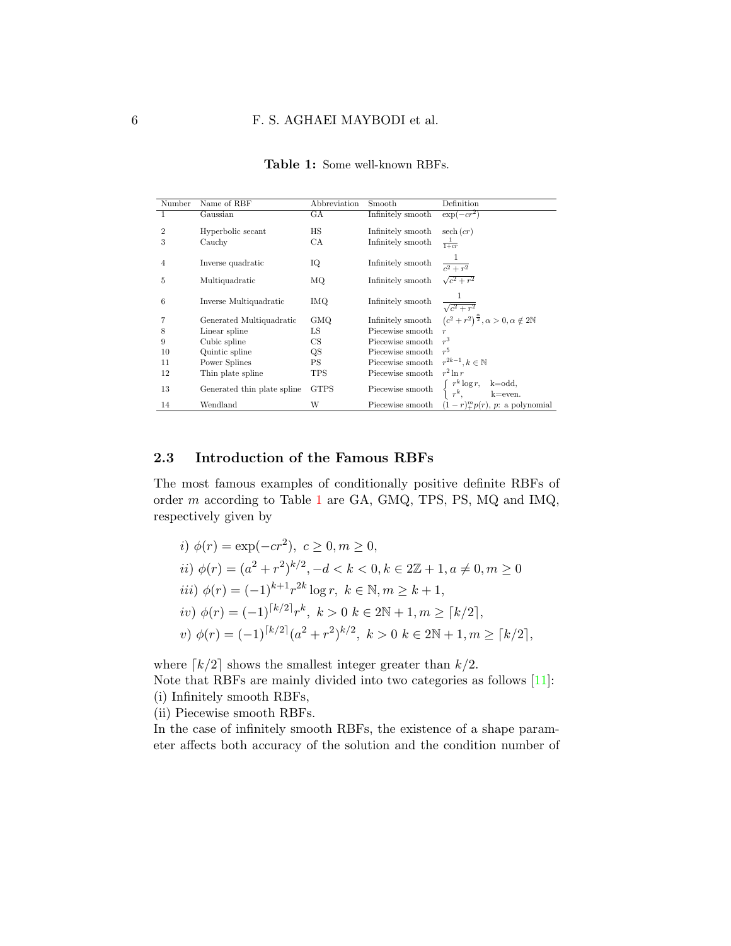<span id="page-5-0"></span>

| Number         | Name of RBF                 | Abbreviation | Smooth            | Definition                                                                                                                                                          |
|----------------|-----------------------------|--------------|-------------------|---------------------------------------------------------------------------------------------------------------------------------------------------------------------|
| 1              | Gaussian                    | GА           | Infinitely smooth | $\exp(-cr^2)$                                                                                                                                                       |
| $\overline{2}$ |                             | HS           |                   |                                                                                                                                                                     |
|                | Hyperbolic secant           |              | Infinitely smooth | $\operatorname{sech}(cr)$                                                                                                                                           |
| 3              | Cauchy                      | CA           | Infinitely smooth | $\frac{1}{1+cr}$                                                                                                                                                    |
|                |                             |              |                   |                                                                                                                                                                     |
| $\overline{4}$ | Inverse quadratic           | IQ           | Infinitely smooth | $\frac{1}{c^2+r^2}$                                                                                                                                                 |
| 5              | Multiquadratic              | ΜQ           | Infinitely smooth | $\sqrt{c^2+r^2}$                                                                                                                                                    |
|                |                             |              |                   |                                                                                                                                                                     |
| 6              | Inverse Multiquadratic      | IMQ.         | Infinitely smooth | $\frac{1}{\sqrt{c^2+r^2}}$                                                                                                                                          |
|                |                             |              |                   |                                                                                                                                                                     |
| 7              | Generated Multiquadratic    | <b>GMQ</b>   |                   | Infinitely smooth $(c^2+r^2)^{\frac{\alpha}{2}}$ , $\alpha>0, \alpha \notin 2\mathbb{N}$                                                                            |
| 8              | Linear spline               | LS           | Piecewise smooth  |                                                                                                                                                                     |
| 9              | Cubic spline                | CS           | Piecewise smooth  | r <sup>3</sup>                                                                                                                                                      |
| 10             | Quintic spline              | QS           | Piecewise smooth  | $r^5$                                                                                                                                                               |
| 11             | Power Splines               | PS           | Piecewise smooth  | $r^{2k-1}, k \in \mathbb{N}$                                                                                                                                        |
| 12             | Thin plate spline           | TPS          | Piecewise smooth  | $r^2\ln r$                                                                                                                                                          |
| 13             | Generated thin plate spline | <b>GTPS</b>  |                   | $\begin{tabular}{ll} \textbf{Piecewise smooth} & $\left\{ \begin{array}{ll} r^k \log r, & \text{k=odd}, \\ r^k, & \text{k=even}. \end{array} \right. \end{tabular}$ |
| 14             | Wendland                    | W            |                   | Piecewise smooth $(1-r)_{+}^{m}p(r)$ , p: a polynomial                                                                                                              |

Table 1: Some well-known RBFs.

### 2.3 Introduction of the Famous RBFs

The most famous examples of conditionally positive definite RBFs of order m according to Table [1](#page-5-0) are GA, GMQ, TPS, PS, MQ and IMQ, respectively given by

*i)* 
$$
\phi(r) = \exp(-cr^2)
$$
,  $c \ge 0$ ,  $m \ge 0$ ,  
\n*ii)*  $\phi(r) = (a^2 + r^2)^{k/2}$ ,  $-d < k < 0$ ,  $k \in 2\mathbb{Z} + 1$ ,  $a \ne 0$ ,  $m \ge 0$   
\n*iii)*  $\phi(r) = (-1)^{k+1}r^{2k}\log r$ ,  $k \in \mathbb{N}$ ,  $m \ge k + 1$ ,  
\n*iv)*  $\phi(r) = (-1)^{\lceil k/2 \rceil}r^k$ ,  $k > 0$   $k \in 2\mathbb{N} + 1$ ,  $m \ge \lceil k/2 \rceil$ ,  
\n*v)*  $\phi(r) = (-1)^{\lceil k/2 \rceil} (a^2 + r^2)^{k/2}$ ,  $k > 0$   $k \in 2\mathbb{N} + 1$ ,  $m \ge \lceil k/2 \rceil$ ,

where  $\lceil k/2 \rceil$  shows the smallest integer greater than  $k/2$ .

Note that RBFs are mainly divided into two categories as follows [\[11\]](#page-19-9): (i) Infinitely smooth RBFs,

(ii) Piecewise smooth RBFs.

In the case of infinitely smooth RBFs, the existence of a shape parameter affects both accuracy of the solution and the condition number of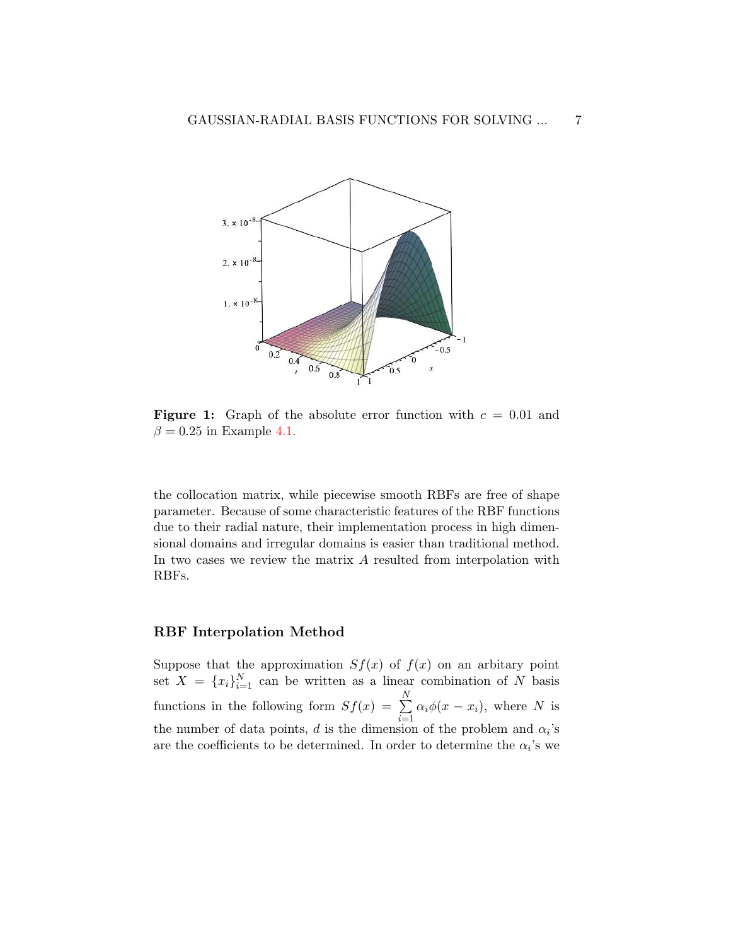

**Figure 1:** Graph of the absolute error function with  $c = 0.01$  and  $\beta = 0.25$  in Example [4.1.](#page-12-1)

the collocation matrix, while piecewise smooth RBFs are free of shape parameter. Because of some characteristic features of the RBF functions due to their radial nature, their implementation process in high dimensional domains and irregular domains is easier than traditional method. In two cases we review the matrix A resulted from interpolation with RBFs.

### RBF Interpolation Method

Suppose that the approximation  $Sf(x)$  of  $f(x)$  on an arbitary point set  $X = \{x_i\}_{i=1}^N$  can be written as a linear combination of N basis functions in the following form  $Sf(x) = \sum_{n=1}^{N}$  $i=1$  $\alpha_i \phi(x - x_i)$ , where N is the number of data points, d is the dimension of the problem and  $\alpha_i$ 's are the coefficients to be determined. In order to determine the  $\alpha_i$ 's we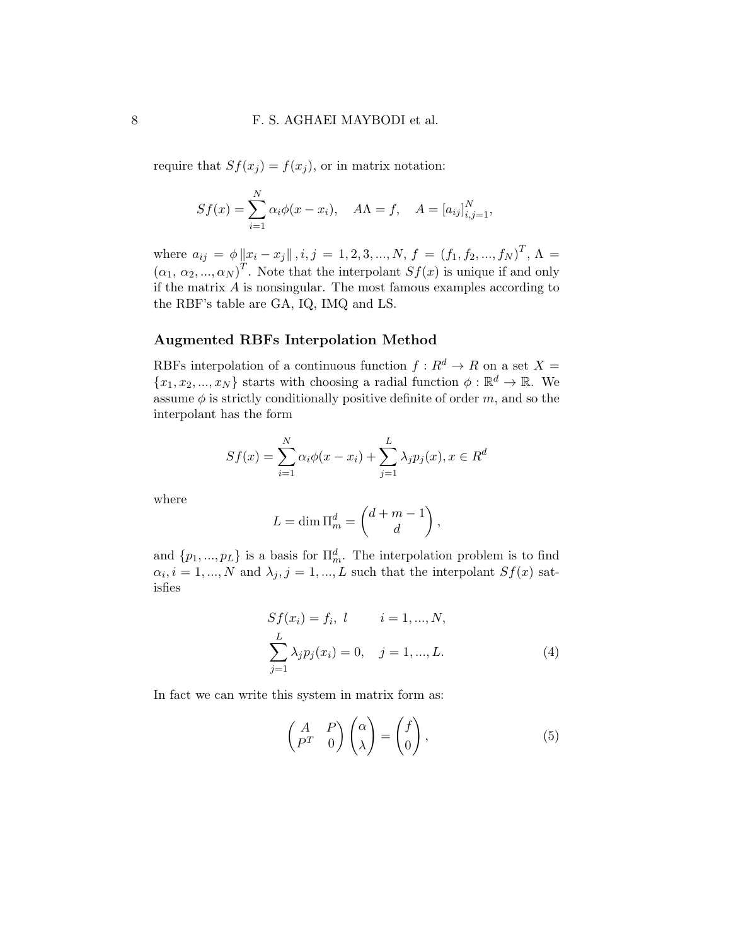require that  $Sf(x_j) = f(x_j)$ , or in matrix notation:

$$
Sf(x) = \sum_{i=1}^{N} \alpha_i \phi(x - x_i), \quad A\Lambda = f, \quad A = [a_{ij}]_{i,j=1}^{N},
$$

where  $a_{ij} = \phi \|x_i - x_j\|, i, j = 1, 2, 3, ..., N, f = (f_1, f_2, ..., f_N)^T, \Lambda =$  $(\alpha_1, \alpha_2, ..., \alpha_N)^T$ . Note that the interpolant  $Sf(x)$  is unique if and only if the matrix  $\vec{A}$  is nonsingular. The most famous examples according to the RBF's table are GA, IQ, IMQ and LS.

### Augmented RBFs Interpolation Method

RBFs interpolation of a continuous function  $f: R^d \to R$  on a set  $X =$  $\{x_1, x_2, ..., x_N\}$  starts with choosing a radial function  $\phi : \mathbb{R}^d \to \mathbb{R}$ . We assume  $\phi$  is strictly conditionally positive definite of order m, and so the interpolant has the form

$$
Sf(x) = \sum_{i=1}^{N} \alpha_i \phi(x - x_i) + \sum_{j=1}^{L} \lambda_j p_j(x), x \in R^d
$$

where

$$
L = \dim \Pi_m^d = \begin{pmatrix} d+m-1 \\ d \end{pmatrix},
$$

and  $\{p_1, ..., p_L\}$  is a basis for  $\Pi_m^d$ . The interpolation problem is to find  $\alpha_i, i = 1, ..., N$  and  $\lambda_j, j = 1, ..., L$  such that the interpolant  $Sf(x)$  satisfies

$$
Sf(x_i) = f_i, \ l \t i = 1, ..., N,
$$
  

$$
\sum_{j=1}^{L} \lambda_j p_j(x_i) = 0, \quad j = 1, ..., L.
$$
 (4)

In fact we can write this system in matrix form as:

<span id="page-7-0"></span>
$$
\begin{pmatrix} A & P \\ P^T & 0 \end{pmatrix} \begin{pmatrix} \alpha \\ \lambda \end{pmatrix} = \begin{pmatrix} f \\ 0 \end{pmatrix}, \tag{5}
$$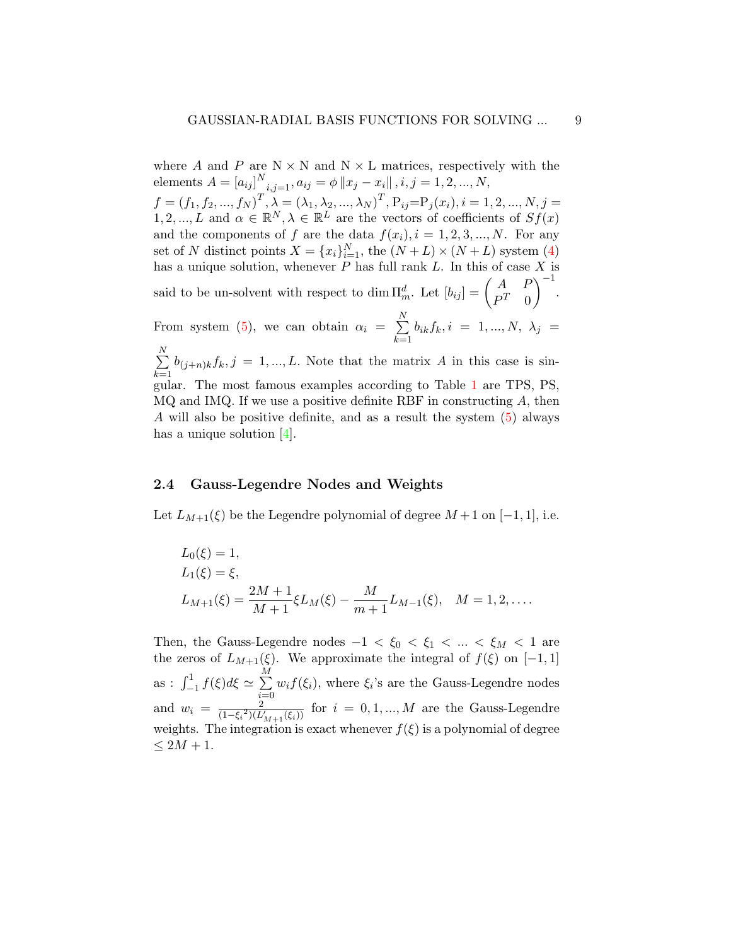where A and P are  $N \times N$  and  $N \times L$  matrices, respectively with the elements  $A = [a_{ij}]^N_{i,j=1}, a_{ij} = \phi \|x_j - x_i\|, i, j = 1, 2, ..., N,$  $f = (f_1, f_2, ..., f_N)^T, \lambda = (\lambda_1, \lambda_2, ..., \lambda_N)^T, P_{ij} = P_j(x_i), i = 1, 2, ..., N, j =$  $1, 2, ..., L$  and  $\alpha \in \mathbb{R}^N, \lambda \in \mathbb{R}^L$  are the vectors of coefficients of  $Sf(x)$ and the components of f are the data  $f(x_i)$ ,  $i = 1, 2, 3, ..., N$ . For any set of N distinct points  $X = \{x_i\}_{i=1}^N$ , the  $(N+L) \times (N+L)$  system [\(4\)](#page-3-0) has a unique solution, whenever  $P$  has full rank  $L$ . In this of case  $X$  is said to be un-solvent with respect to dim  $\Pi_m^d$ . Let  $[b_{ij}] = \begin{pmatrix} A & P \\ P^T & 0 \end{pmatrix}$  $P^T \quad 0$  $\bigg)^{-1}$ . From system [\(5\)](#page-7-0), we can obtain  $\alpha_i = \sum^N$  $k=1$  $b_{ik}f_k, i = 1, ..., N, \lambda_j =$  $\sum_{i=1}^{N}$  $\sum_{k=1} b_{(j+n)k} f_k$ ,  $j = 1, ..., L$ . Note that the matrix A in this case is sin-

gular. The most famous examples according to Table [1](#page-5-0) are TPS, PS,  $MQ$  and IMQ. If we use a positive definite RBF in constructing  $A$ , then A will also be positive definite, and as a result the system [\(5\)](#page-7-0) always has a unique solution [\[4\]](#page-18-5).

### 2.4 Gauss-Legendre Nodes and Weights

Let  $L_{M+1}(\xi)$  be the Legendre polynomial of degree  $M+1$  on  $[-1, 1]$ , i.e.

$$
L_0(\xi) = 1,
$$
  
\n
$$
L_1(\xi) = \xi,
$$
  
\n
$$
L_{M+1}(\xi) = \frac{2M+1}{M+1} \xi L_M(\xi) - \frac{M}{m+1} L_{M-1}(\xi), \quad M = 1, 2, ....
$$

Then, the Gauss-Legendre nodes  $-1 < \xi_0 < \xi_1 < ... < \xi_M < 1$  are the zeros of  $L_{M+1}(\xi)$ . We approximate the integral of  $f(\xi)$  on [−1, 1] as :  $\int_{-1}^{1} f(\xi) d\xi \simeq \sum_{n=0}^{M}$  $i=0$  $w_i f(\xi_i)$ , where  $\xi_i$ 's are the Gauss-Legendre nodes and  $w_i = \frac{2}{(1-\xi)^2}$  $\frac{2}{(1-\xi_i^2)(L'_{M+1}(\xi_i))}$  for  $i=0,1,...,M$  are the Gauss-Legendre weights. The integration is exact whenever  $f(\xi)$  is a polynomial of degree  $\leq 2M+1$ .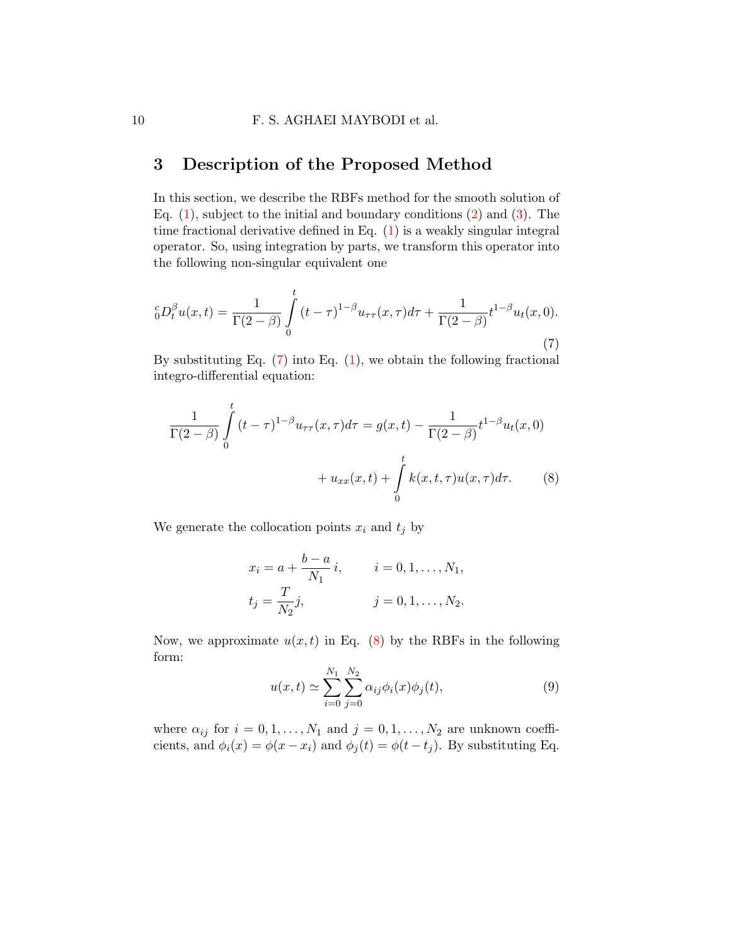## <span id="page-9-0"></span>3 Description of the Proposed Method

In this section, we describe the RBFs method for the smooth solution of Eq.  $(1)$ , subject to the initial and boundary conditions  $(2)$  and  $(3)$ . The time fractional derivative defined in Eq. [\(1\)](#page-1-0) is a weakly singular integral operator. So, using integration by parts, we transform this operator into the following non-singular equivalent one

<span id="page-9-1"></span>
$$
{}_{0}^{c}D_{t}^{\beta}u(x,t) = \frac{1}{\Gamma(2-\beta)} \int_{0}^{t} (t-\tau)^{1-\beta} u_{\tau\tau}(x,\tau) d\tau + \frac{1}{\Gamma(2-\beta)} t^{1-\beta} u_{t}(x,0).
$$
\n(7)

By substituting Eq.  $(7)$  into Eq.  $(1)$ , we obtain the following fractional integro-differential equation:

$$
\frac{1}{\Gamma(2-\beta)} \int_{0}^{t} (t-\tau)^{1-\beta} u_{\tau\tau}(x,\tau) d\tau = g(x,t) - \frac{1}{\Gamma(2-\beta)} t^{1-\beta} u_t(x,0) \n+ u_{xx}(x,t) + \int_{0}^{t} k(x,t,\tau) u(x,\tau) d\tau.
$$
\n(8)

We generate the collocation points  $x_i$  and  $t_j$  by

<span id="page-9-2"></span>
$$
x_i = a + \frac{b-a}{N_1}i
$$
,  $i = 0, 1, ..., N_1$ ,  
 $t_j = \frac{T}{N_2}j$ ,  $j = 0, 1, ..., N_2$ .

Now, we approximate  $u(x, t)$  in Eq. [\(8\)](#page-9-2) by the RBFs in the following form:

<span id="page-9-3"></span>
$$
u(x,t) \simeq \sum_{i=0}^{N_1} \sum_{j=0}^{N_2} \alpha_{ij} \phi_i(x) \phi_j(t),
$$
 (9)

where  $\alpha_{ij}$  for  $i = 0, 1, ..., N_1$  and  $j = 0, 1, ..., N_2$  are unknown coefficients, and  $\phi_i(x) = \phi(x - x_i)$  and  $\phi_i(t) = \phi(t - t_i)$ . By substituting Eq.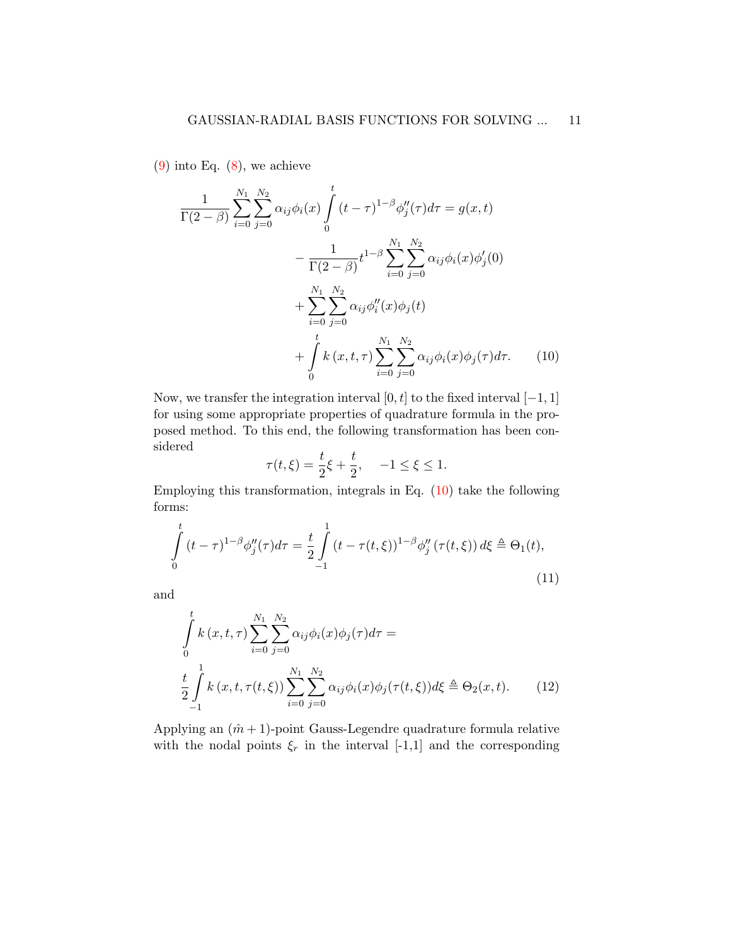$(9)$  into Eq.  $(8)$ , we achieve

$$
\frac{1}{\Gamma(2-\beta)} \sum_{i=0}^{N_1} \sum_{j=0}^{N_2} \alpha_{ij} \phi_i(x) \int_0^t (t-\tau)^{1-\beta} \phi''_j(\tau) d\tau = g(x,t) \n- \frac{1}{\Gamma(2-\beta)} t^{1-\beta} \sum_{i=0}^{N_1} \sum_{j=0}^{N_2} \alpha_{ij} \phi_i(x) \phi'_j(0) \n+ \sum_{i=0}^{N_1} \sum_{j=0}^{N_2} \alpha_{ij} \phi''_i(x) \phi_j(t) \n+ \int_0^t k(x,t,\tau) \sum_{i=0}^{N_1} \sum_{j=0}^{N_2} \alpha_{ij} \phi_i(x) \phi_j(\tau) d\tau.
$$
\n(10)

Now, we transfer the integration interval [0, t] to the fixed interval  $[-1, 1]$ for using some appropriate properties of quadrature formula in the proposed method. To this end, the following transformation has been considered

<span id="page-10-2"></span><span id="page-10-1"></span><span id="page-10-0"></span>
$$
\tau(t,\xi) = \frac{t}{2}\xi + \frac{t}{2}, \quad -1 \le \xi \le 1.
$$

Employing this transformation, integrals in Eq. [\(10\)](#page-10-0) take the following forms:

$$
\int_{0}^{t} (t-\tau)^{1-\beta} \phi_{j}''(\tau) d\tau = \frac{t}{2} \int_{-1}^{1} (t-\tau(t,\xi))^{1-\beta} \phi_{j}''(\tau(t,\xi)) d\xi \triangleq \Theta_{1}(t),
$$
\n(11)

and

$$
\int_{0}^{t} k(x, t, \tau) \sum_{i=0}^{N_1} \sum_{j=0}^{N_2} \alpha_{ij} \phi_i(x) \phi_j(\tau) d\tau =
$$
\n
$$
\frac{t}{2} \int_{-1}^{1} k(x, t, \tau(t, \xi)) \sum_{i=0}^{N_1} \sum_{j=0}^{N_2} \alpha_{ij} \phi_i(x) \phi_j(\tau(t, \xi)) d\xi \triangleq \Theta_2(x, t). \tag{12}
$$

Applying an  $(\hat{m} + 1)$ -point Gauss-Legendre quadrature formula relative with the nodal points  $\xi_r$  in the interval [-1,1] and the corresponding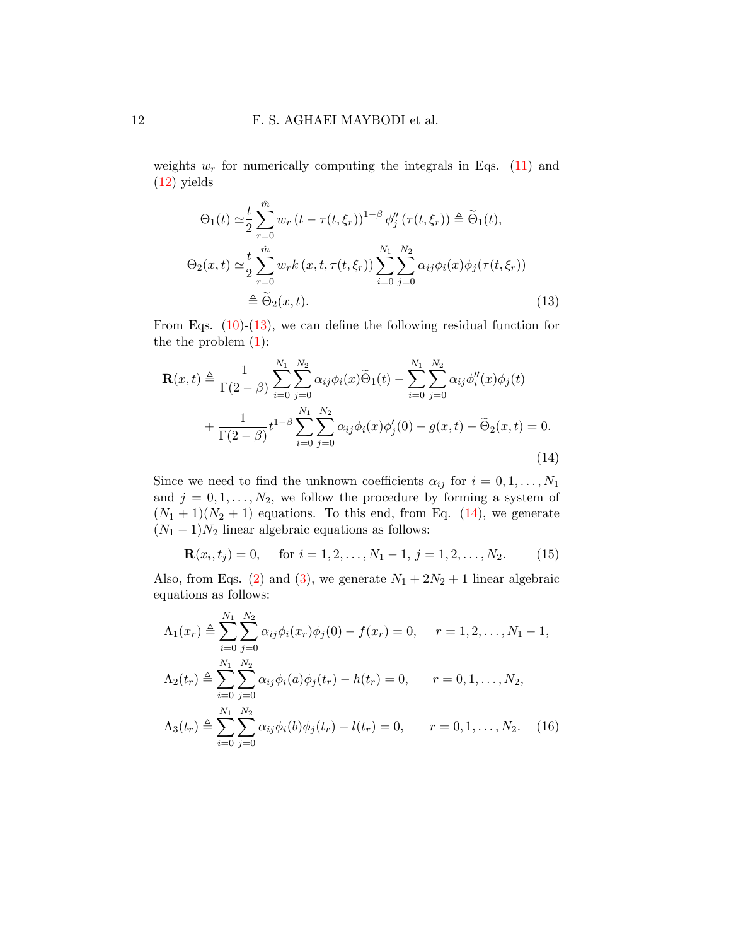weights  $w_r$  for numerically computing the integrals in Eqs. [\(11\)](#page-10-1) and [\(12\)](#page-10-2) yields

<span id="page-11-0"></span>
$$
\Theta_1(t) \simeq \frac{t}{2} \sum_{r=0}^{\hat{m}} w_r (t - \tau(t, \xi_r))^{1-\beta} \phi_j''(\tau(t, \xi_r)) \triangleq \widetilde{\Theta}_1(t),
$$
  
\n
$$
\Theta_2(x, t) \simeq \frac{t}{2} \sum_{r=0}^{\hat{m}} w_r k (x, t, \tau(t, \xi_r)) \sum_{i=0}^{N_1} \sum_{j=0}^{N_2} \alpha_{ij} \phi_i(x) \phi_j(\tau(t, \xi_r))
$$
  
\n
$$
\triangleq \widetilde{\Theta}_2(x, t).
$$
\n(13)

From Eqs.  $(10)-(13)$  $(10)-(13)$ , we can define the following residual function for the the problem [\(1\)](#page-1-0):

$$
\mathbf{R}(x,t) \triangleq \frac{1}{\Gamma(2-\beta)} \sum_{i=0}^{N_1} \sum_{j=0}^{N_2} \alpha_{ij} \phi_i(x) \widetilde{\Theta}_1(t) - \sum_{i=0}^{N_1} \sum_{j=0}^{N_2} \alpha_{ij} \phi_i''(x) \phi_j(t) + \frac{1}{\Gamma(2-\beta)} t^{1-\beta} \sum_{i=0}^{N_1} \sum_{j=0}^{N_2} \alpha_{ij} \phi_i(x) \phi_j'(0) - g(x,t) - \widetilde{\Theta}_2(x,t) = 0.
$$
\n(14)

Since we need to find the unknown coefficients  $\alpha_{ij}$  for  $i = 0, 1, \ldots, N_1$ and  $j = 0, 1, \ldots, N_2$ , we follow the procedure by forming a system of  $(N_1 + 1)(N_2 + 1)$  equations. To this end, from Eq. [\(14\)](#page-11-1), we generate  $(N_1 - 1)N_2$  linear algebraic equations as follows:

<span id="page-11-2"></span><span id="page-11-1"></span> $\mathbf{R}(x_i, t_j) = 0, \quad \text{ for } i = 1, 2, \dots, N_1 - 1, j = 1, 2, \dots, N_2.$  (15)

Also, from Eqs. [\(2\)](#page-1-1) and [\(3\)](#page-1-2), we generate  $N_1 + 2N_2 + 1$  linear algebraic equations as follows:

<span id="page-11-3"></span>
$$
\Lambda_1(x_r) \triangleq \sum_{i=0}^{N_1} \sum_{j=0}^{N_2} \alpha_{ij} \phi_i(x_r) \phi_j(0) - f(x_r) = 0, \quad r = 1, 2, ..., N_1 - 1,
$$
  
\n
$$
\Lambda_2(t_r) \triangleq \sum_{i=0}^{N_1} \sum_{j=0}^{N_2} \alpha_{ij} \phi_i(a) \phi_j(t_r) - h(t_r) = 0, \quad r = 0, 1, ..., N_2,
$$
  
\n
$$
\Lambda_3(t_r) \triangleq \sum_{i=0}^{N_1} \sum_{j=0}^{N_2} \alpha_{ij} \phi_i(b) \phi_j(t_r) - l(t_r) = 0, \quad r = 0, 1, ..., N_2.
$$
 (16)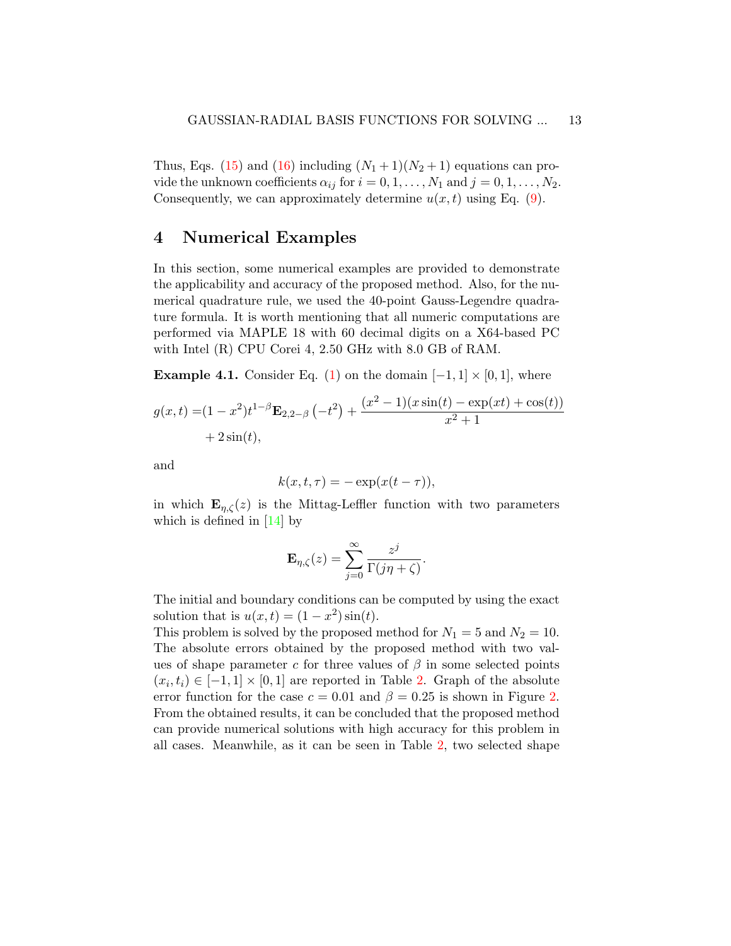Thus, Eqs. [\(15\)](#page-11-2) and [\(16\)](#page-11-3) including  $(N_1+1)(N_2+1)$  equations can provide the unknown coefficients  $\alpha_{ij}$  for  $i = 0, 1, \ldots, N_1$  and  $j = 0, 1, \ldots, N_2$ . Consequently, we can approximately determine  $u(x, t)$  using Eq. [\(9\)](#page-9-3).

## <span id="page-12-0"></span>4 Numerical Examples

In this section, some numerical examples are provided to demonstrate the applicability and accuracy of the proposed method. Also, for the numerical quadrature rule, we used the 40-point Gauss-Legendre quadrature formula. It is worth mentioning that all numeric computations are performed via MAPLE 18 with 60 decimal digits on a X64-based PC with Intel (R) CPU Corei 4, 2.50 GHz with 8.0 GB of RAM.

<span id="page-12-1"></span>**Example 4.1.** Consider Eq. [\(1\)](#page-1-0) on the domain  $[-1, 1] \times [0, 1]$ , where

$$
g(x,t) = (1 - x^2)t^{1-\beta} \mathbf{E}_{2,2-\beta}(-t^2) + \frac{(x^2 - 1)(x\sin(t) - \exp(xt) + \cos(t))}{x^2 + 1}
$$
  
+ 2\sin(t),

and

$$
k(x, t, \tau) = -\exp(x(t - \tau)),
$$

in which  $\mathbf{E}_{\eta,\zeta}(z)$  is the Mittag-Leffler function with two parameters which is defined in [\[14\]](#page-19-0) by

$$
\mathbf{E}_{\eta,\zeta}(z) = \sum_{j=0}^{\infty} \frac{z^j}{\Gamma(j\eta + \zeta)}.
$$

The initial and boundary conditions can be computed by using the exact solution that is  $u(x,t) = (1 - x^2) \sin(t)$ .

This problem is solved by the proposed method for  $N_1 = 5$  and  $N_2 = 10$ . The absolute errors obtained by the proposed method with two values of shape parameter c for three values of  $\beta$  in some selected points  $(x_i, t_i) \in [-1, 1] \times [0, 1]$  are reported in Table [2.](#page-13-0) Graph of the absolute error function for the case  $c = 0.01$  and  $\beta = 0.25$  is shown in Figure [2.](#page-14-0) From the obtained results, it can be concluded that the proposed method can provide numerical solutions with high accuracy for this problem in all cases. Meanwhile, as it can be seen in Table [2,](#page-13-0) two selected shape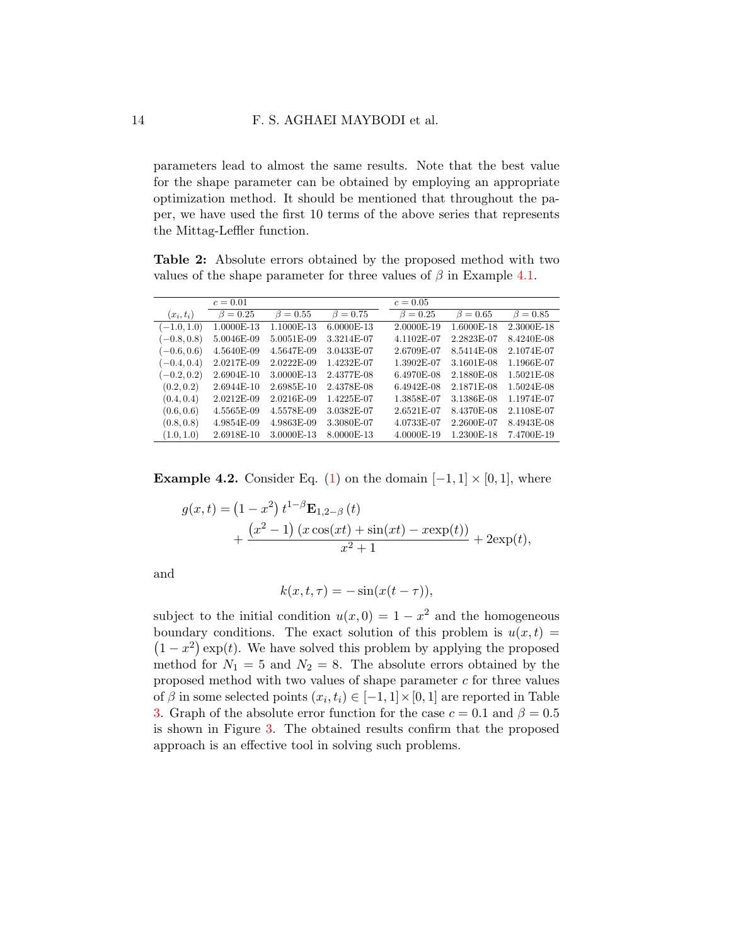parameters lead to almost the same results. Note that the best value for the shape parameter can be obtained by employing an appropriate optimization method. It should be mentioned that throughout the paper, we have used the first 10 terms of the above series that represents the Mittag-Leffler function.

<span id="page-13-0"></span>Table 2: Absolute errors obtained by the proposed method with two values of the shape parameter for three values of  $\beta$  in Example [4.1.](#page-12-1)

|               | $c = 0.01$     |                |                | $c = 0.05$     |                |                |
|---------------|----------------|----------------|----------------|----------------|----------------|----------------|
| $(x_i,t_i)$   | $\beta = 0.25$ | $\beta = 0.55$ | $\beta = 0.75$ | $\beta = 0.25$ | $\beta = 0.65$ | $\beta = 0.85$ |
| $(-1.0, 1.0)$ | 1.0000E-13     | 1.1000E-13     | 6.0000E-13     | 2.0000E-19     | 1.6000E-18     | 2.3000E-18     |
| $(-0.8, 0.8)$ | 5.0046E-09     | 5.0051E-09     | 3.3214E-07     | 4.1102E-07     | 2.2823E-07     | 8.4240E-08     |
| $(-0.6, 0.6)$ | 4.5640E-09     | 4.5647E-09     | 3.0433E-07     | 2.6709E-07     | 8.5414E-08     | 2.1074E-07     |
| $(-0.4, 0.4)$ | 2.0217E-09     | 2.0222E-09     | 1.4232E-07     | 1.3902E-07     | 3.1601E-08     | 1.1966E-07     |
| $(-0.2, 0.2)$ | 2.6904E-10     | 3.0000E-13     | 2.4377E-08     | 6.4970E-08     | 2.1880E-08     | 1.5021E-08     |
| (0.2, 0.2)    | 2.6944E-10     | 2.6985E-10     | 2.4378E-08     | 6.4942E-08     | 2.1871E-08     | 1.5024E-08     |
| (0.4, 0.4)    | 2.0212E-09     | 2.0216E-09     | 1.4225E-07     | 1.3858E-07     | 3.1386E-08     | 1.1974E-07     |
| (0.6, 0.6)    | 4.5565E-09     | 4.5578E-09     | 3.0382E-07     | 2.6521E-07     | 8.4370E-08     | 2.1108E-07     |
| (0.8, 0.8)    | 4.9854E-09     | 4.9863E-09     | 3.3080E-07     | 4.0733E-07     | 2.2600E-07     | 8.4943E-08     |
| (1.0, 1.0)    | 2.6918E-10     | 3.0000E-13     | 8.0000E-13     | 4.0000E-19     | 1.2300E-18     | 7.4700E-19     |

<span id="page-13-1"></span>**Example 4.2.** Consider Eq. [\(1\)](#page-1-0) on the domain  $[-1, 1] \times [0, 1]$ , where

$$
g(x,t) = (1 - x^2) t^{1-\beta} \mathbf{E}_{1,2-\beta}(t)
$$
  
+ 
$$
\frac{(x^2 - 1) (x \cos(xt) + \sin(xt) - x \exp(t))}{x^2 + 1} + 2\exp(t),
$$

and

$$
k(x, t, \tau) = -\sin(x(t - \tau)),
$$

subject to the initial condition  $u(x, 0) = 1 - x^2$  and the homogeneous boundary conditions. The exact solution of this problem is  $u(x, t) =$  $(1-x^2)$  exp(t). We have solved this problem by applying the proposed method for  $N_1 = 5$  and  $N_2 = 8$ . The absolute errors obtained by the proposed method with two values of shape parameter  $c$  for three values of  $\beta$  in some selected points  $(x_i, t_i) \in [-1, 1] \times [0, 1]$  are reported in Table [3.](#page-14-1) Graph of the absolute error function for the case  $c = 0.1$  and  $\beta = 0.5$ is shown in Figure [3.](#page-15-0) The obtained results confirm that the proposed approach is an effective tool in solving such problems.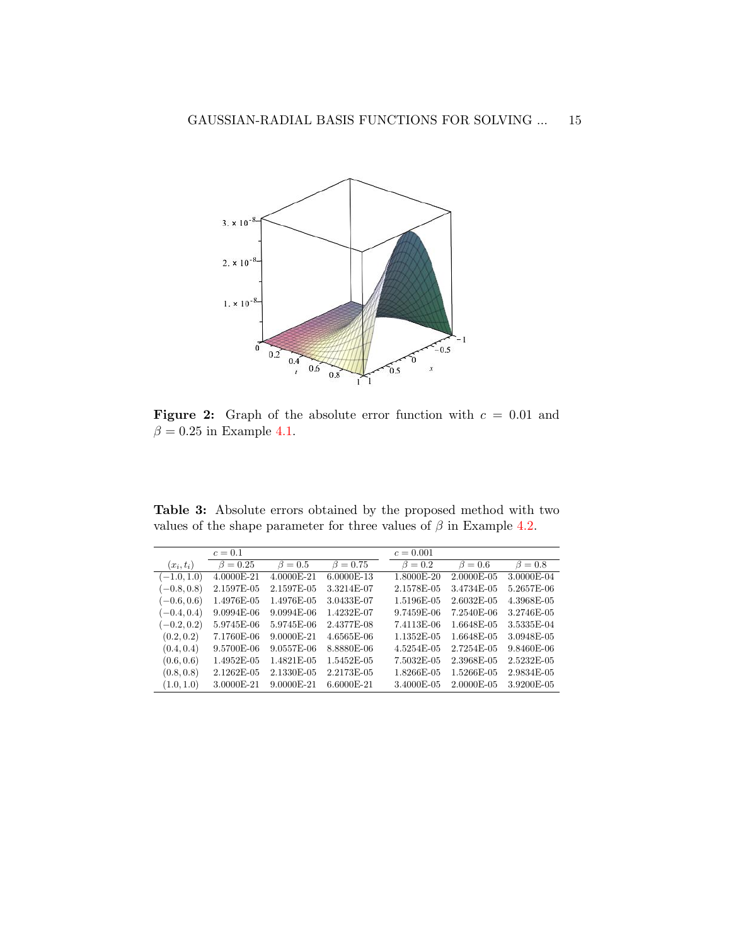<span id="page-14-0"></span>

Figure 2: Graph of the absolute error function with  $c = 0.01$  and  $\beta=0.25$  in Example [4.1.](#page-12-1)

<span id="page-14-1"></span>Table 3: Absolute errors obtained by the proposed method with two values of the shape parameter for three values of  $\beta$  in Example [4.2.](#page-13-1)

|               | $c=0.1$        |               |                | $c = 0.001$   |               |               |
|---------------|----------------|---------------|----------------|---------------|---------------|---------------|
| $(x_i,t_i)$   | $\beta = 0.25$ | $\beta = 0.5$ | $\beta = 0.75$ | $\beta = 0.2$ | $\beta = 0.6$ | $\beta = 0.8$ |
| $(-1.0, 1.0)$ | 4.0000E-21     | 4.0000E-21    | 6.0000E-13     | 1.8000E-20    | 2.0000E-05    | 3.0000E-04    |
| $(-0.8, 0.8)$ | 2.1597E-05     | 2.1597E-05    | 3.3214E-07     | 2.1578E-05    | 3.4734E-05    | 5.2657E-06    |
| $(-0.6, 0.6)$ | 1.4976E-05     | 1.4976E-05    | 3.0433E-07     | 1.5196E-05    | 2.6032E-05    | 4.3968E-05    |
| $(-0.4, 0.4)$ | $9.0994E-06$   | $9.0994E-06$  | 1.4232E-07     | 9.7459E-06    | 7.2540E-06    | 3.2746E-05    |
| $(-0.2, 0.2)$ | 5.9745E-06     | 5.9745E-06    | 2.4377E-08     | 7.4113E-06    | 1.6648E-05    | 3.5335E-04    |
| (0.2, 0.2)    | 7.1760E-06     | 9.0000E-21    | 4.6565E-06     | 1.1352E-05    | 1.6648E-05    | 3.0948E-05    |
| (0.4, 0.4)    | 9.5700E-06     | 9.0557E-06    | 8.8880E-06     | 4.5254E-05    | 2.7254E-05    | 9.8460E-06    |
| (0.6, 0.6)    | 1.4952E-05     | 1.4821E-05    | 1.5452E-05     | 7.5032E-05    | 2.3968E-05    | 2.5232E-05    |
| (0.8, 0.8)    | 2.1262E-05     | 2.1330E-05    | 2.2173E-05     | 1.8266E-05    | 1.5266E-05    | 2.9834E-05    |
| (1.0, 1.0)    | 3.0000E-21     | 9.0000E-21    | 6.6000E-21     | 3.4000E-05    | 2.0000E-05    | 3.9200E-05    |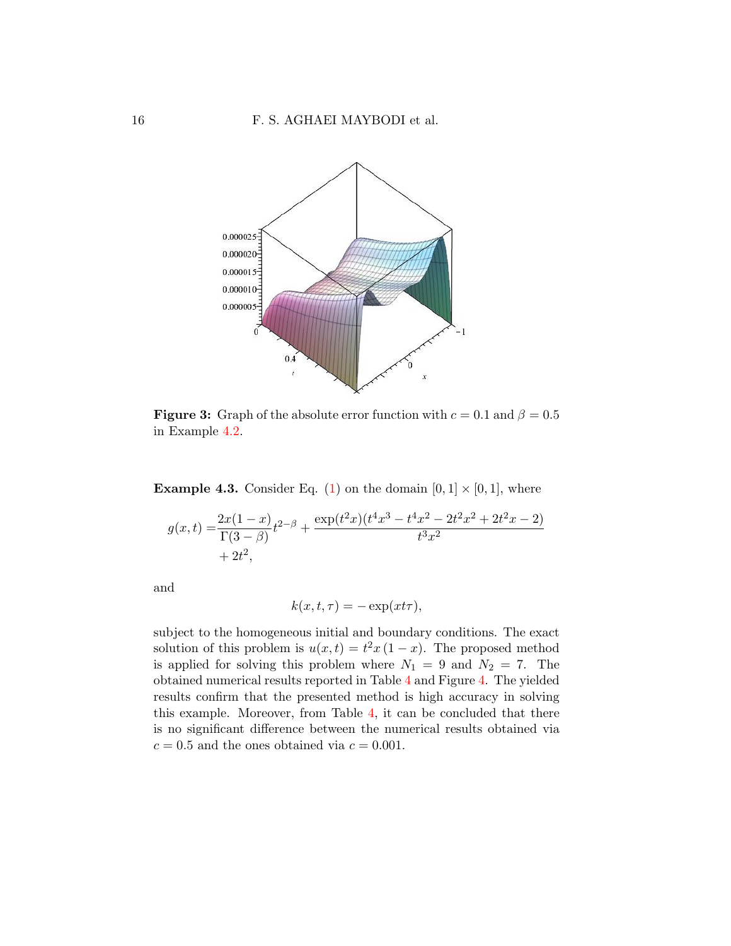<span id="page-15-0"></span>

**Figure 3:** Graph of the absolute error function with  $c = 0.1$  and  $\beta = 0.5$ in Example [4.2.](#page-13-1)

<span id="page-15-1"></span>**Example 4.3.** Consider Eq. [\(1\)](#page-1-0) on the domain  $[0, 1] \times [0, 1]$ , where

$$
g(x,t) = \frac{2x(1-x)}{\Gamma(3-\beta)}t^{2-\beta} + \frac{\exp(t^2x)(t^4x^3 - t^4x^2 - 2t^2x^2 + 2t^2x - 2)}{t^3x^2} + 2t^2,
$$

and

$$
k(x, t, \tau) = -\exp(x t \tau),
$$

subject to the homogeneous initial and boundary conditions. The exact solution of this problem is  $u(x,t) = t^2 x (1-x)$ . The proposed method is applied for solving this problem where  $N_1 = 9$  and  $N_2 = 7$ . The obtained numerical results reported in Table [4](#page-16-0) and Figure [4.](#page-16-1) The yielded results confirm that the presented method is high accuracy in solving this example. Moreover, from Table [4,](#page-16-0) it can be concluded that there is no significant difference between the numerical results obtained via  $c = 0.5$  and the ones obtained via  $c = 0.001$ .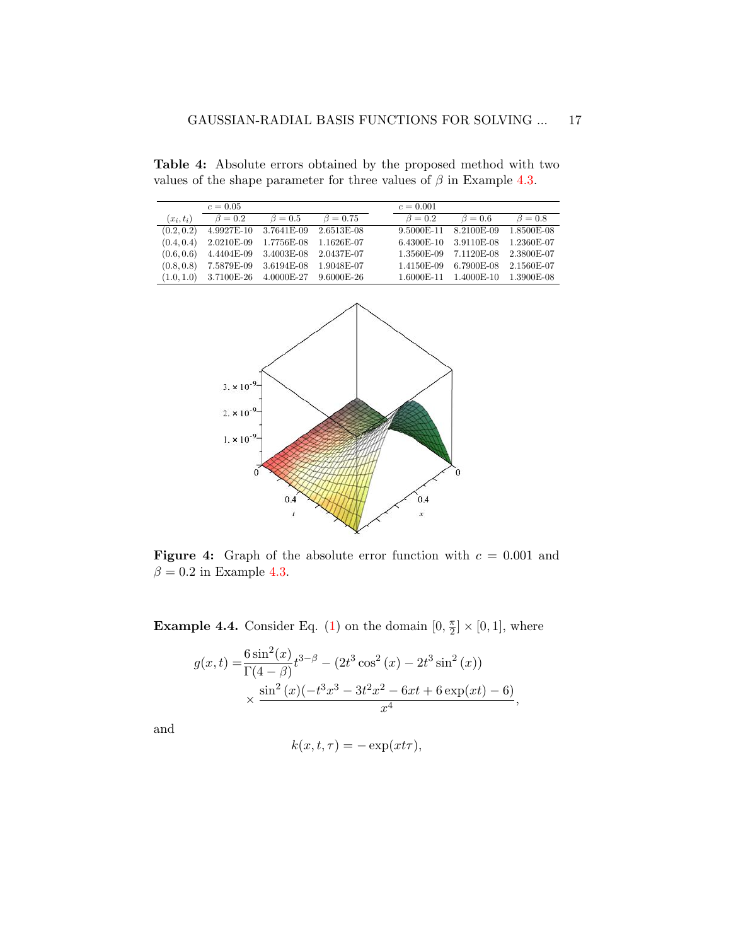<span id="page-16-0"></span>Table 4: Absolute errors obtained by the proposed method with two values of the shape parameter for three values of  $\beta$  in Example [4.3.](#page-15-1)

|             | $c = 0.05$    |                                               |                | $c = 0.001$   |                                  |               |
|-------------|---------------|-----------------------------------------------|----------------|---------------|----------------------------------|---------------|
| $(x_i,t_i)$ | $\beta = 0.2$ | $\beta = 0.5$                                 | $\beta = 0.75$ | $\beta = 0.2$ | $\beta = 0.6$                    | $\beta = 0.8$ |
| (0.2, 0.2)  | 4.9927E-10    | 3.7641E-09                                    | $2.6513E-08$   | 9.5000E-11    | 8.2100E-09 1.8500E-08            |               |
| (0.4, 0.4)  | $2.0210E-09$  |                                               |                |               | 6.4300E-10 3.9110E-08 1.2360E-07 |               |
| (0.6, 0.6)  |               | 4.4404E-09 3.4003E-08 2.0437E-07              |                |               | 1.3560E-09 7.1120E-08 2.3800E-07 |               |
| (0.8, 0.8)  | 7.5879E-09    | 3.6194E-08 1.9048E-07                         |                | 1.4150E-09    | 6.7900E-08 2.1560E-07            |               |
|             |               | $(1.0, 1.0)$ 3.7100E-26 4.0000E-27 9.6000E-26 |                | 1.6000E-11    | 1.4000E-10 1.3900E-08            |               |

<span id="page-16-1"></span>

**Figure 4:** Graph of the absolute error function with  $c = 0.001$  and  $\beta = 0.2$  in Example [4.3.](#page-15-1)

<span id="page-16-2"></span>**Example 4.4.** Consider Eq. [\(1\)](#page-1-0) on the domain  $[0, \frac{\pi}{2}]$  $\frac{\pi}{2}]\times [0,1],$  where

$$
g(x,t) = \frac{6 \sin^2(x)}{\Gamma(4-\beta)} t^{3-\beta} - (2t^3 \cos^2(x) - 2t^3 \sin^2(x))
$$
  
 
$$
\times \frac{\sin^2(x)(-t^3x^3 - 3t^2x^2 - 6xt + 6 \exp(xt) - 6)}{x^4},
$$

and

$$
k(x, t, \tau) = -\exp(x t \tau),
$$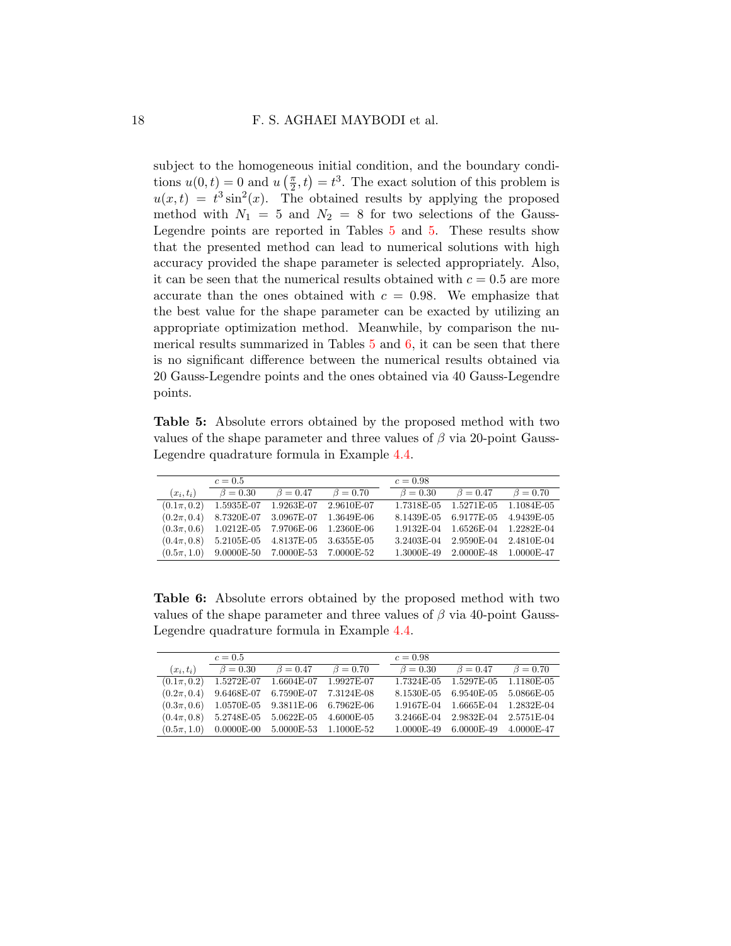subject to the homogeneous initial condition, and the boundary conditions  $u(0, t) = 0$  and  $u\left(\frac{\pi}{2}\right)$  $(\frac{\pi}{2}, t) = t^3$ . The exact solution of this problem is  $u(x,t) = t^3 \sin^2(x)$ . The obtained results by applying the proposed method with  $N_1 = 5$  and  $N_2 = 8$  for two selections of the Gauss-Legendre points are reported in Tables [5](#page-17-0) and [5.](#page-17-0) These results show that the presented method can lead to numerical solutions with high accuracy provided the shape parameter is selected appropriately. Also, it can be seen that the numerical results obtained with  $c = 0.5$  are more accurate than the ones obtained with  $c = 0.98$ . We emphasize that the best value for the shape parameter can be exacted by utilizing an appropriate optimization method. Meanwhile, by comparison the numerical results summarized in Tables  $5$  and  $6$ , it can be seen that there is no significant difference between the numerical results obtained via 20 Gauss-Legendre points and the ones obtained via 40 Gauss-Legendre points.

<span id="page-17-0"></span>Table 5: Absolute errors obtained by the proposed method with two values of the shape parameter and three values of  $\beta$  via 20-point Gauss-Legendre quadrature formula in Example [4.4.](#page-16-2)

|                 | $c=0.5$        |                                        |                | $c = 0.98$     |                       |                |
|-----------------|----------------|----------------------------------------|----------------|----------------|-----------------------|----------------|
| $(x_i,t_i)$     | $\beta = 0.30$ | $\beta = 0.47$                         | $\beta = 0.70$ | $\beta = 0.30$ | $\beta = 0.47$        | $\beta = 0.70$ |
| $(0.1\pi, 0.2)$ | 1.5935E-07     | 1.9263E-07                             | 2.9610E-07     | 1.7318E-05     | 1.5271E-05 1.1084E-05 |                |
| $(0.2\pi, 0.4)$ | 8.7320E-07     | 3.0967E-07                             | 1.3649E-06     | 8.1439E-05     | 6.9177E-05 4.9439E-05 |                |
| $(0.3\pi, 0.6)$ |                | 1.0212E-05 7.9706E-06                  | 1.2360E-06     | 1.9132E-04     | 1.6526E-04            | 1.2282E-04     |
| $(0.4\pi, 0.8)$ |                | 5.2105E-05 4.8137E-05 3.6355E-05       |                | 3.2403E-04     | 2.9590E-04 2.4810E-04 |                |
| $(0.5\pi, 1.0)$ |                | $9.0000E-50$ $7.0000E-53$ $7.0000E-52$ |                | 1.3000E-49     | 2.0000E-48 1.0000E-47 |                |

<span id="page-17-1"></span>Table 6: Absolute errors obtained by the proposed method with two values of the shape parameter and three values of  $\beta$  via 40-point Gauss-Legendre quadrature formula in Example [4.4.](#page-16-2)

|                 | $c = 0.5$      |                           |                | $c = 0.98$     |                |                |
|-----------------|----------------|---------------------------|----------------|----------------|----------------|----------------|
| $(x_i,t_i)$     | $\beta = 0.30$ | $\beta = 0.47$            | $\beta = 0.70$ | $\beta = 0.30$ | $\beta = 0.47$ | $\beta = 0.70$ |
| $(0.1\pi, 0.2)$ | 1.5272E-07     | $1.6604E-07$              | 1.9927E-07     | 1.7324E-05     | 1.5297E-05     | 1.1180E-05     |
| $(0.2\pi, 0.4)$ | 9.6468E-07     | 6.7590E-07                | 7.3124E-08     | 8.1530E-05     | 6.9540E-05     | 5.0866E-05     |
| $(0.3\pi, 0.6)$ | $1.0570E-05$   | 9.3811E-06                | 6.7962E-06     | 1.9167E-04     | 1.6665E-04     | 1.2832E-04     |
| $(0.4\pi, 0.8)$ | 5.2748E-05     | $5.0622E-05$              | 4.6000E-05     | 3.2466E-04     | 2.9832E-04     | 2.5751E-04     |
| $(0.5\pi, 1.0)$ |                | $0.0000E-00$ $5.0000E-53$ | 1.1000E-52     | $1.0000E-49$   | $6.0000E-49$   | 4.0000E-47     |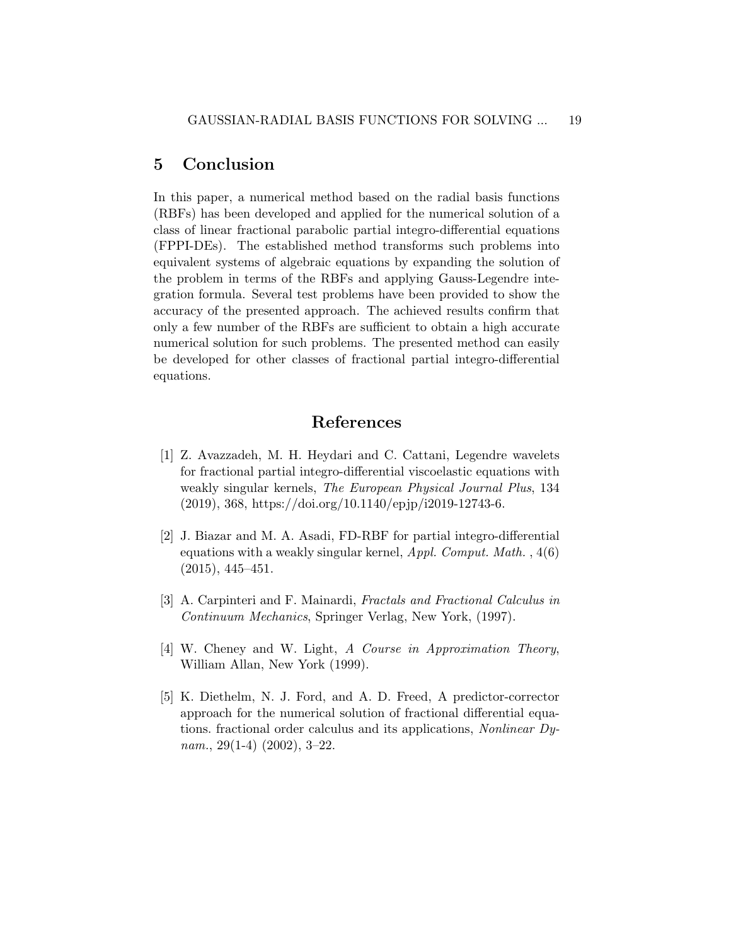## <span id="page-18-4"></span>5 Conclusion

In this paper, a numerical method based on the radial basis functions (RBFs) has been developed and applied for the numerical solution of a class of linear fractional parabolic partial integro-differential equations (FPPI-DEs). The established method transforms such problems into equivalent systems of algebraic equations by expanding the solution of the problem in terms of the RBFs and applying Gauss-Legendre integration formula. Several test problems have been provided to show the accuracy of the presented approach. The achieved results confirm that only a few number of the RBFs are sufficient to obtain a high accurate numerical solution for such problems. The presented method can easily be developed for other classes of fractional partial integro-differential equations.

## References

- <span id="page-18-1"></span>[1] Z. Avazzadeh, M. H. Heydari and C. Cattani, Legendre wavelets for fractional partial integro-differential viscoelastic equations with weakly singular kernels, The European Physical Journal Plus, 134 (2019), 368, https://doi.org/10.1140/epjp/i2019-12743-6.
- <span id="page-18-2"></span>[2] J. Biazar and M. A. Asadi, FD-RBF for partial integro-differential equations with a weakly singular kernel,  $Appl. Comput. Math.$ ,  $4(6)$ (2015), 445–451.
- <span id="page-18-0"></span>[3] A. Carpinteri and F. Mainardi, Fractals and Fractional Calculus in Continuum Mechanics, Springer Verlag, New York, (1997).
- <span id="page-18-5"></span>[4] W. Cheney and W. Light, A Course in Approximation Theory, William Allan, New York (1999).
- <span id="page-18-3"></span>[5] K. Diethelm, N. J. Ford, and A. D. Freed, A predictor-corrector approach for the numerical solution of fractional differential equations. fractional order calculus and its applications, Nonlinear Dynam.,  $29(1-4)$   $(2002)$ ,  $3-22$ .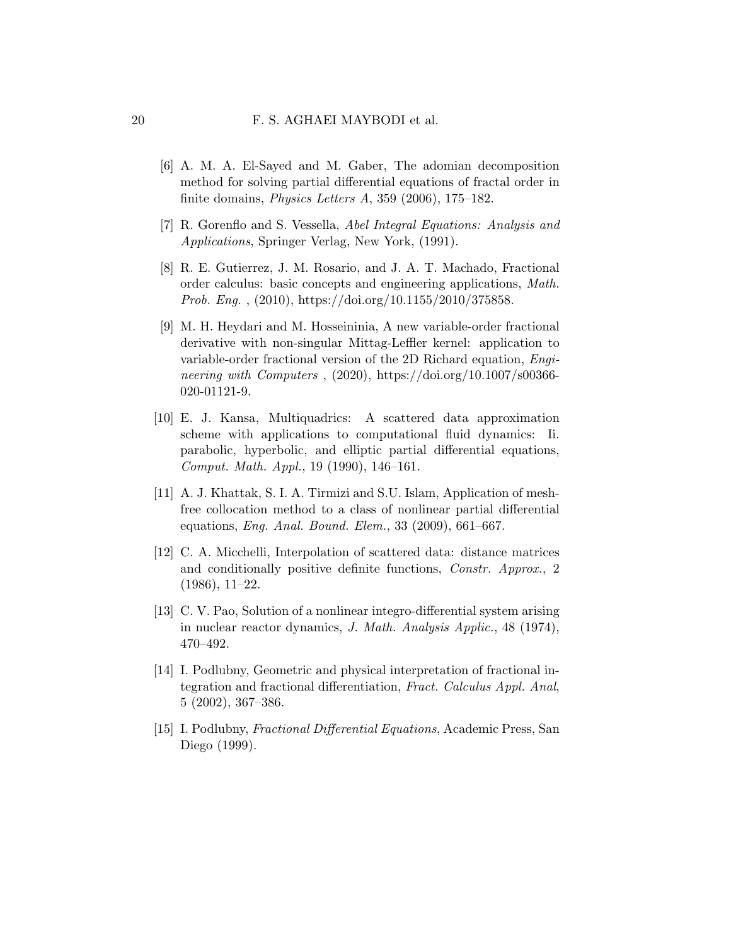- <span id="page-19-5"></span>[6] A. M. A. El-Sayed and M. Gaber, The adomian decomposition method for solving partial differential equations of fractal order in finite domains, *Physics Letters A*, 359 (2006), 175–182.
- <span id="page-19-3"></span>[7] R. Gorenflo and S. Vessella, Abel Integral Equations: Analysis and Applications, Springer Verlag, New York, (1991).
- <span id="page-19-6"></span>[8] R. E. Gutierrez, J. M. Rosario, and J. A. T. Machado, Fractional order calculus: basic concepts and engineering applications, Math. Prob. Eng. , (2010), https://doi.org/10.1155/2010/375858.
- <span id="page-19-1"></span>[9] M. H. Heydari and M. Hosseininia, A new variable-order fractional derivative with non-singular Mittag-Leffler kernel: application to variable-order fractional version of the 2D Richard equation, Engineering with Computers ,  $(2020)$ , https://doi.org/10.1007/s00366-020-01121-9.
- <span id="page-19-4"></span>[10] E. J. Kansa, Multiquadrics: A scattered data approximation scheme with applications to computational fluid dynamics: Ii. parabolic, hyperbolic, and elliptic partial differential equations, Comput. Math. Appl., 19 (1990), 146–161.
- <span id="page-19-9"></span>[11] A. J. Khattak, S. I. A. Tirmizi and S.U. Islam, Application of meshfree collocation method to a class of nonlinear partial differential equations, Eng. Anal. Bound. Elem., 33 (2009), 661–667.
- <span id="page-19-8"></span>[12] C. A. Micchelli, Interpolation of scattered data: distance matrices and conditionally positive definite functions, Constr. Approx., 2 (1986), 11–22.
- <span id="page-19-2"></span>[13] C. V. Pao, Solution of a nonlinear integro-differential system arising in nuclear reactor dynamics, J. Math. Analysis Applic., 48 (1974), 470–492.
- <span id="page-19-0"></span>[14] I. Podlubny, Geometric and physical interpretation of fractional integration and fractional differentiation, Fract. Calculus Appl. Anal, 5 (2002), 367–386.
- <span id="page-19-7"></span>[15] I. Podlubny, Fractional Differential Equations, Academic Press, San Diego (1999).